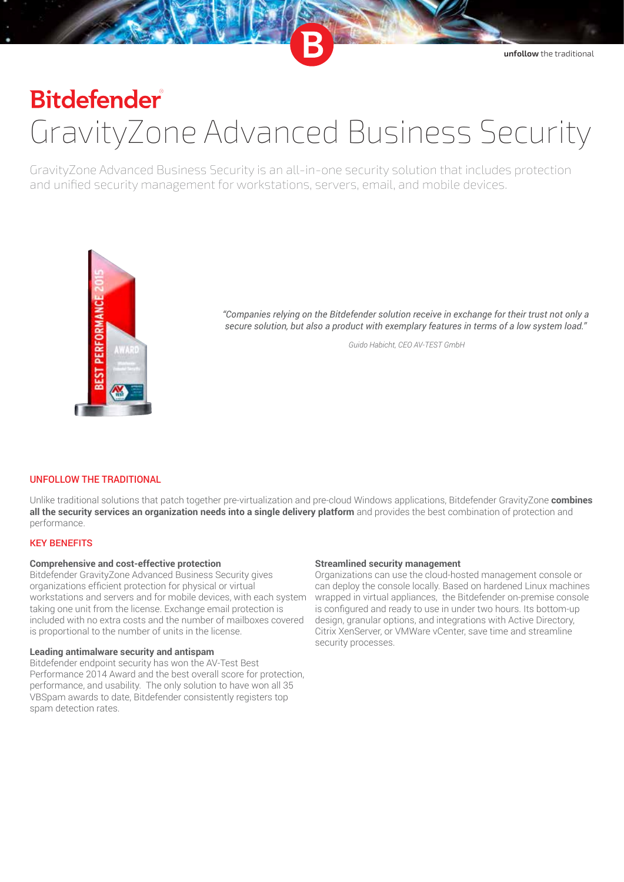# **Bitdefender** GravityZone Advanced Business Security

GravityZone Advanced Business Security is an all-in-one security solution that includes protection and unified security management for workstations, servers, email, and mobile devices.



*"Companies relying on the Bitdefender solution receive in exchange for their trust not only a secure solution, but also a product with exemplary features in terms of a low system load."*

 *Guido Habicht, CEO AV-TEST GmbH*

# UNFOLLOW THE TRADITIONAL

Unlike traditional solutions that patch together pre-virtualization and pre-cloud Windows applications, Bitdefender GravityZone **combines all the security services an organization needs into a single delivery platform** and provides the best combination of protection and performance.

# KEY BENEFITS

## **Comprehensive and cost-effective protection**

Bitdefender GravityZone Advanced Business Security gives organizations efficient protection for physical or virtual workstations and servers and for mobile devices, with each system taking one unit from the license. Exchange email protection is included with no extra costs and the number of mailboxes covered is proportional to the number of units in the license.

#### **Leading antimalware security and antispam**

Bitdefender endpoint security has won the AV-Test Best Performance 2014 Award and the best overall score for protection, performance, and usability. The only solution to have won all 35 VBSpam awards to date, Bitdefender consistently registers top spam detection rates.

## **Streamlined security management**

Organizations can use the cloud-hosted management console or can deploy the console locally. Based on hardened Linux machines wrapped in virtual appliances, the Bitdefender on-premise console is configured and ready to use in under two hours. Its bottom-up design, granular options, and integrations with Active Directory, Citrix XenServer, or VMWare vCenter, save time and streamline security processes.